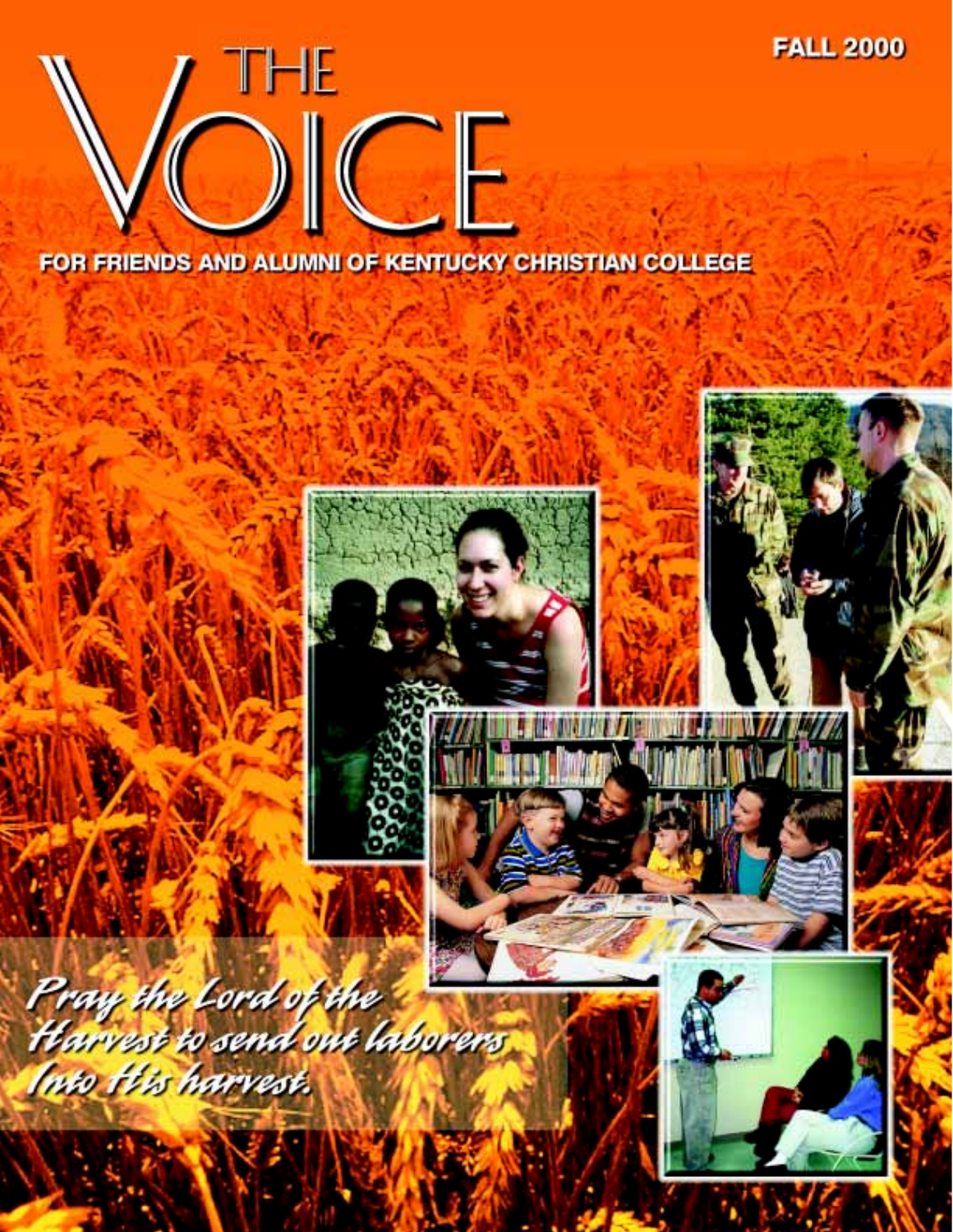

FOR FRIENDS AND ALUMNI OF KENTUCKY CHRISTIAN COLLEGE

**FALL 2000** 

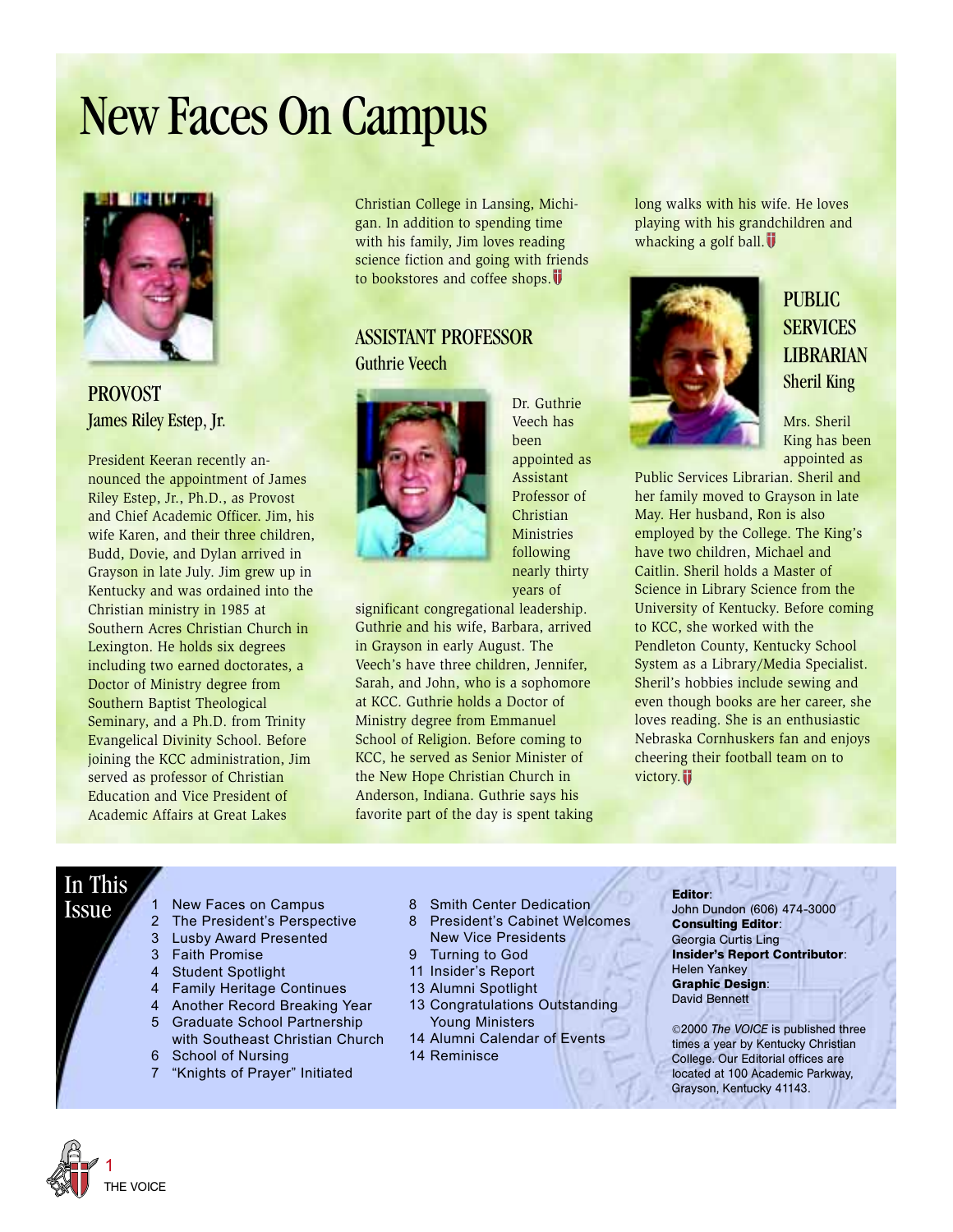## New Faces On Campus



PROVOST James Riley Estep, Jr.

President Keeran recently announced the appointment of James Riley Estep, Jr., Ph.D., as Provost and Chief Academic Officer. Jim, his wife Karen, and their three children, Budd, Dovie, and Dylan arrived in Grayson in late July. Jim grew up in Kentucky and was ordained into the Christian ministry in 1985 at Southern Acres Christian Church in Lexington. He holds six degrees including two earned doctorates, a Doctor of Ministry degree from Southern Baptist Theological Seminary, and a Ph.D. from Trinity Evangelical Divinity School. Before joining the KCC administration, Jim served as professor of Christian Education and Vice President of Academic Affairs at Great Lakes

Christian College in Lansing, Michigan. In addition to spending time with his family, Jim loves reading science fiction and going with friends to bookstores and coffee shops.

### ASSISTANT PROFESSOR Guthrie Veech



Dr. Guthrie Veech has been appointed as Assistant Professor of Christian Ministries following nearly thirty years of

significant congregational leadership. Guthrie and his wife, Barbara, arrived in Grayson in early August. The Veech's have three children, Jennifer, Sarah, and John, who is a sophomore at KCC. Guthrie holds a Doctor of Ministry degree from Emmanuel School of Religion. Before coming to KCC, he served as Senior Minister of the New Hope Christian Church in Anderson, Indiana. Guthrie says his favorite part of the day is spent taking long walks with his wife. He loves playing with his grandchildren and whacking a golf ball. $\overline{\mathbf{V}}$ 



### PUBLIC **SERVICES** LIBRARIAN Sheril King

Mrs. Sheril King has been appointed as

Public Services Librarian. Sheril and her family moved to Grayson in late May. Her husband, Ron is also employed by the College. The King's have two children, Michael and Caitlin. Sheril holds a Master of Science in Library Science from the University of Kentucky. Before coming to KCC, she worked with the Pendleton County, Kentucky School System as a Library/Media Specialist. Sheril's hobbies include sewing and even though books are her career, she loves reading. She is an enthusiastic Nebraska Cornhuskers fan and enjoys cheering their football team on to victory.

### In This

- Issue
- 1 New Faces on Campus 2 The President's Perspective
	- 3 Lusby Award Presented
	- 3 Faith Promise
	- 4 Student Spotlight
	- 4 Family Heritage Continues
	- 4 Another Record Breaking Year
	- 5 Graduate School Partnership with Southeast Christian Church
	- 6 School of Nursing
	- 7 "Knights of Prayer" Initiated
- 8 Smith Center Dedication
- 8 President's Cabinet Welcomes New Vice Presidents
- 9 Turning to God
- 11 Insider's Report
- 13 Alumni Spotlight
- 13 Congratulations Outstanding Young Ministers
- 14 Alumni Calendar of Events 14 Reminisce

#### **Editor**:

John Dundon (606) 474-3000 **Consulting Editor**: Georgia Curtis Ling **Insider's Report Contributor**: Helen Yankey **Graphic Design**: David Bennett

©2000 *The VOICE* is published three times a year by Kentucky Christian College. Our Editorial offices are located at 100 Academic Parkway, Grayson, Kentucky 41143.

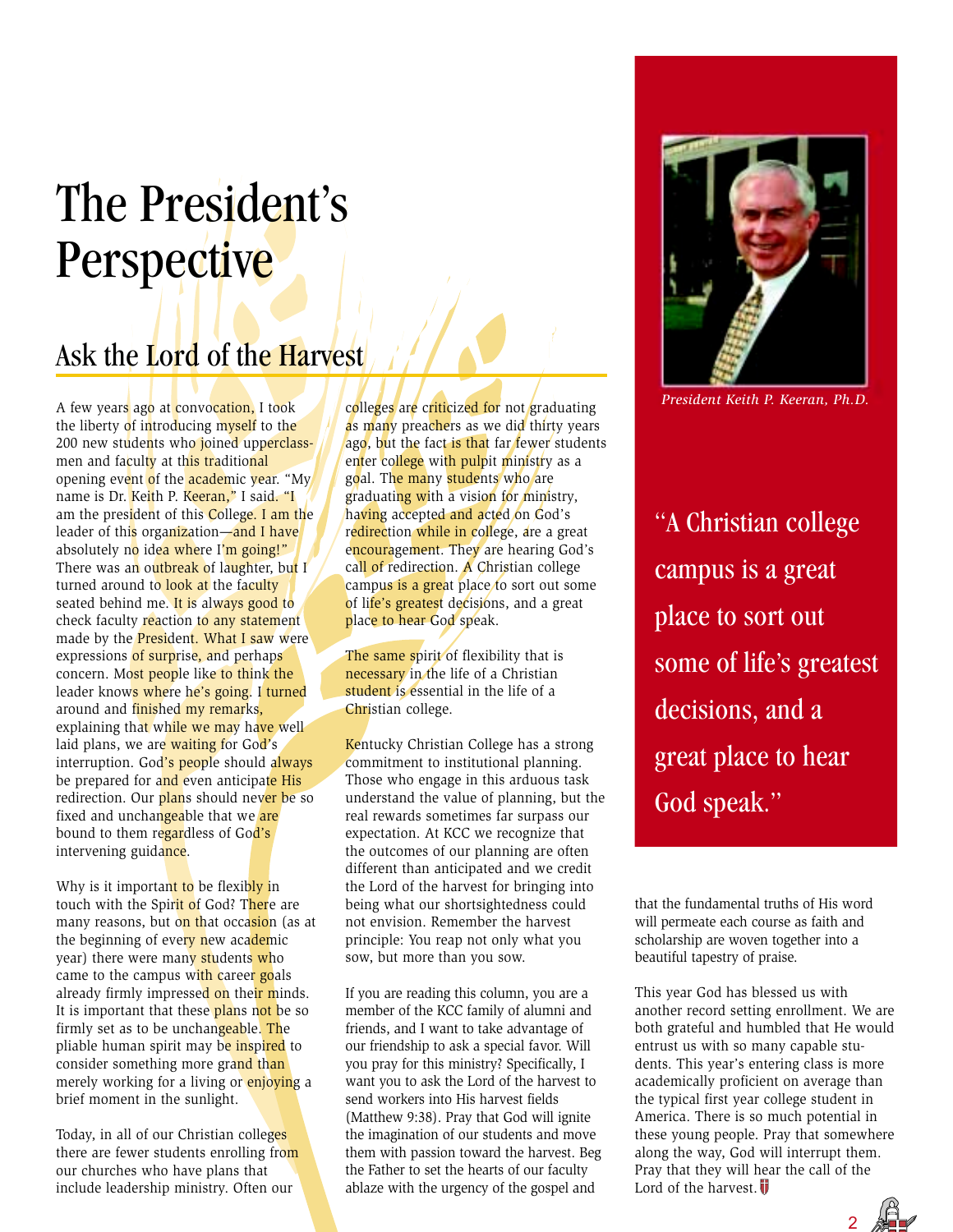## The President's **Perspective**

### Ask the Lord of the Harvest

A few years ago at convocation, I took the liberty of introducing myself to the 200 new students who joined upperclassmen and faculty at this traditional opening event of the academic year. "My name is Dr. Keith P. Keeran," I said. "I am the president of this College. I am the leader of this organization—and I have absolutely no idea where I'm going!" There was an outbreak of laughter, but I turned around to look at the faculty seated behind me. It is always good to check faculty reaction to any statement made by the **President**. What I saw were expressions of surprise, and perhaps concern. Most people like to think the leader knows where he's going. I turned around and finished my remarks, explaining that while we may have well laid plans, we are waiting for God's interruption. God's people should always be prepared for and even anticipate His redirection. Our plans should never be so fixed and unchangeable that we are bound to them regardless of God's intervening guidance.

Why is it important to be flexibly in touch with the Spirit of God? There are many reasons, but on that occasion (as at the beginning of every new academic year) there were many students who came to the campus with career goals already firmly impressed on their minds. It is important that these plans not be so firmly set as to be unchangeable. The pliable human spirit may be inspired to consider something more grand than merely working for a living or enjoying a brief moment in the sunlight.

Today, in all of our Christian colleges there are fewer students enrolling from our churches who have plans that include leadership ministry. Often our

colleges are criticized for not graduating as many preachers as we did thirty years ago, but the fact is that far fewer students enter college with pulpit ministry as a goal. The many students who are graduating with a vision for ministry, having accepted and acted on God's redirection while in college, are a great encouragement. They are hearing God's call of redirection. A Christian college campus is a great place to sort out some of life's greatest decisions, and a great place to hear God speak.

The same spirit of flexibility that is necessary in the life of a Christian student is essential in the life of a Christian college.

Kentucky Christian College has a strong commitment to institutional planning. Those who engage in this arduous task understand the value of planning, but the real rewards sometimes far surpass our expectation. At KCC we recognize that the outcomes of our planning are often different than anticipated and we credit the Lord of the harvest for bringing into being what our shortsightedness could not envision. Remember the harvest principle: You reap not only what you sow, but more than you sow.

If you are reading this column, you are a member of the KCC family of alumni and friends, and I want to take advantage of our friendship to ask a special favor. Will you pray for this ministry? Specifically, I want you to ask the Lord of the harvest to send workers into His harvest fields (Matthew 9:38). Pray that God will ignite the imagination of our students and move them with passion toward the harvest. Beg the Father to set the hearts of our faculty ablaze with the urgency of the gospel and



*President Keith P. Keeran, Ph.D.*

"A Christian college campus is a great place to sort out some of life's greatest decisions, and a great place to hear God speak."

that the fundamental truths of His word will permeate each course as faith and scholarship are woven together into a beautiful tapestry of praise.

This year God has blessed us with another record setting enrollment. We are both grateful and humbled that He would entrust us with so many capable students. This year's entering class is more academically proficient on average than the typical first year college student in America. There is so much potential in these young people. Pray that somewhere along the way, God will interrupt them. Pray that they will hear the call of the Lord of the harvest.

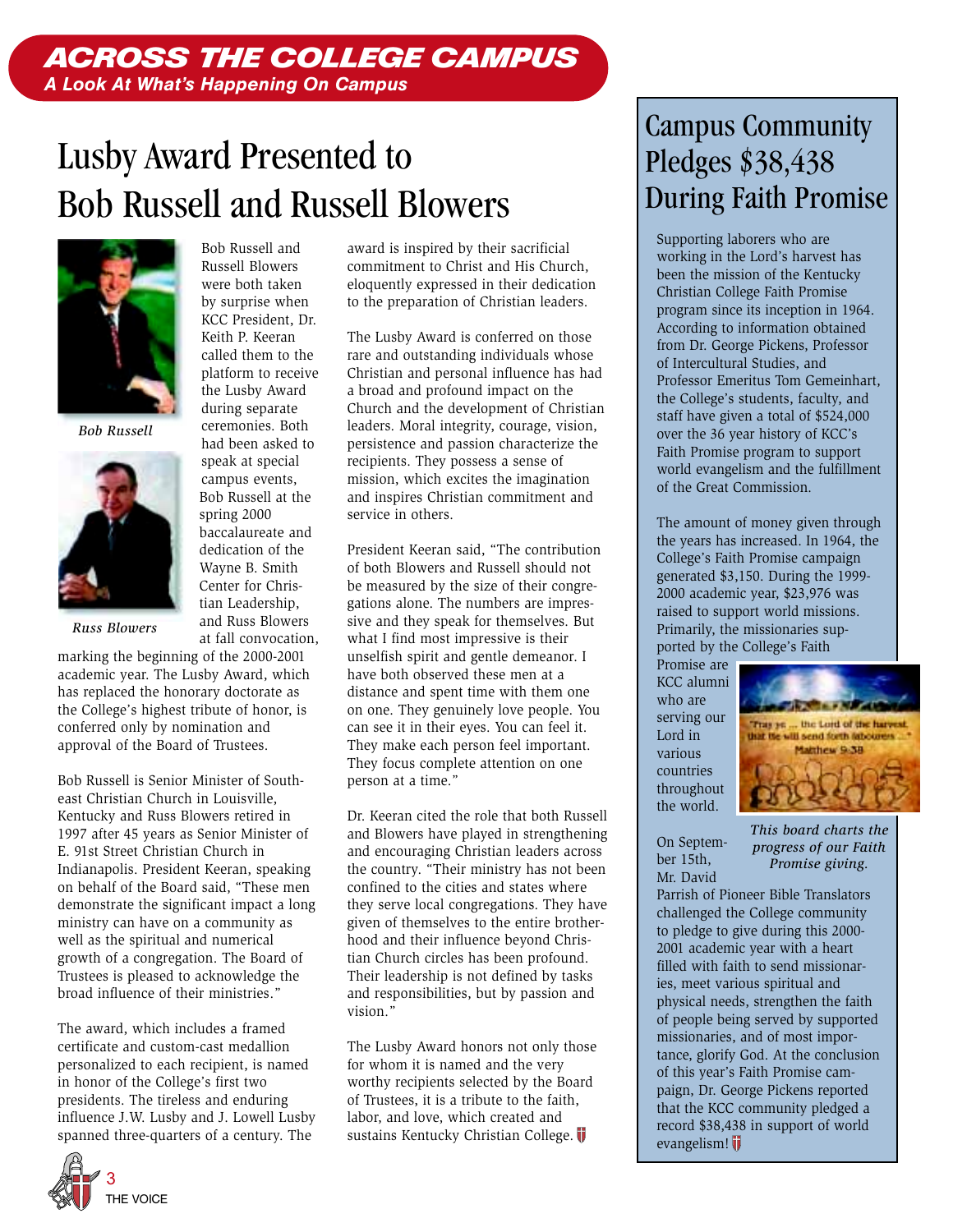### ACROSS THE COLLEGE CAMPUS *A Look At What's Happening On Campus*

## Lusby Award Presented to Bob Russell and Russell Blowers

Bob Russell and



*Bob Russell*



*Russ Blowers*

marking the beginning of the 2000-2001 academic year. The Lusby Award, which has replaced the honorary doctorate as the College's highest tribute of honor, is conferred only by nomination and approval of the Board of Trustees.

Bob Russell is Senior Minister of Southeast Christian Church in Louisville, Kentucky and Russ Blowers retired in 1997 after 45 years as Senior Minister of E. 91st Street Christian Church in Indianapolis. President Keeran, speaking on behalf of the Board said, "These men demonstrate the significant impact a long ministry can have on a community as well as the spiritual and numerical growth of a congregation. The Board of Trustees is pleased to acknowledge the broad influence of their ministries."

The award, which includes a framed certificate and custom-cast medallion personalized to each recipient, is named in honor of the College's first two presidents. The tireless and enduring influence J.W. Lusby and J. Lowell Lusby spanned three-quarters of a century. The

Russell Blowers were both taken by surprise when KCC President, Dr. Keith P. Keeran called them to the platform to receive the Lusby Award during separate ceremonies. Both had been asked to speak at special campus events, Bob Russell at the spring 2000 baccalaureate and dedication of the Wayne B. Smith Center for Christian Leadership, and Russ Blowers at fall convocation, award is inspired by their sacrificial commitment to Christ and His Church, eloquently expressed in their dedication to the preparation of Christian leaders.

The Lusby Award is conferred on those rare and outstanding individuals whose Christian and personal influence has had a broad and profound impact on the Church and the development of Christian leaders. Moral integrity, courage, vision, persistence and passion characterize the recipients. They possess a sense of mission, which excites the imagination and inspires Christian commitment and service in others.

President Keeran said, "The contribution of both Blowers and Russell should not be measured by the size of their congregations alone. The numbers are impressive and they speak for themselves. But what I find most impressive is their unselfish spirit and gentle demeanor. I have both observed these men at a distance and spent time with them one on one. They genuinely love people. You can see it in their eyes. You can feel it. They make each person feel important. They focus complete attention on one person at a time."

Dr. Keeran cited the role that both Russell and Blowers have played in strengthening and encouraging Christian leaders across the country. "Their ministry has not been confined to the cities and states where they serve local congregations. They have given of themselves to the entire brotherhood and their influence beyond Christian Church circles has been profound. Their leadership is not defined by tasks and responsibilities, but by passion and vision."

The Lusby Award honors not only those for whom it is named and the very worthy recipients selected by the Board of Trustees, it is a tribute to the faith, labor, and love, which created and sustains Kentucky Christian College.

### Campus Community Pledges \$38,438 During Faith Promise

Supporting laborers who are working in the Lord's harvest has been the mission of the Kentucky Christian College Faith Promise program since its inception in 1964. According to information obtained from Dr. George Pickens, Professor of Intercultural Studies, and Professor Emeritus Tom Gemeinhart, the College's students, faculty, and staff have given a total of \$524,000 over the 36 year history of KCC's Faith Promise program to support world evangelism and the fulfillment of the Great Commission.

The amount of money given through the years has increased. In 1964, the College's Faith Promise campaign generated \$3,150. During the 1999- 2000 academic year, \$23,976 was raised to support world missions. Primarily, the missionaries supported by the College's Faith

Promise are KCC alumni who are serving our Lord in various countries throughout the world.



On September 15th, Mr. David

*This board charts the progress of our Faith Promise giving.*

Parrish of Pioneer Bible Translators challenged the College community to pledge to give during this 2000- 2001 academic year with a heart filled with faith to send missionaries, meet various spiritual and physical needs, strengthen the faith of people being served by supported missionaries, and of most importance, glorify God. At the conclusion of this year's Faith Promise campaign, Dr. George Pickens reported that the KCC community pledged a record \$38,438 in support of world evangelism!

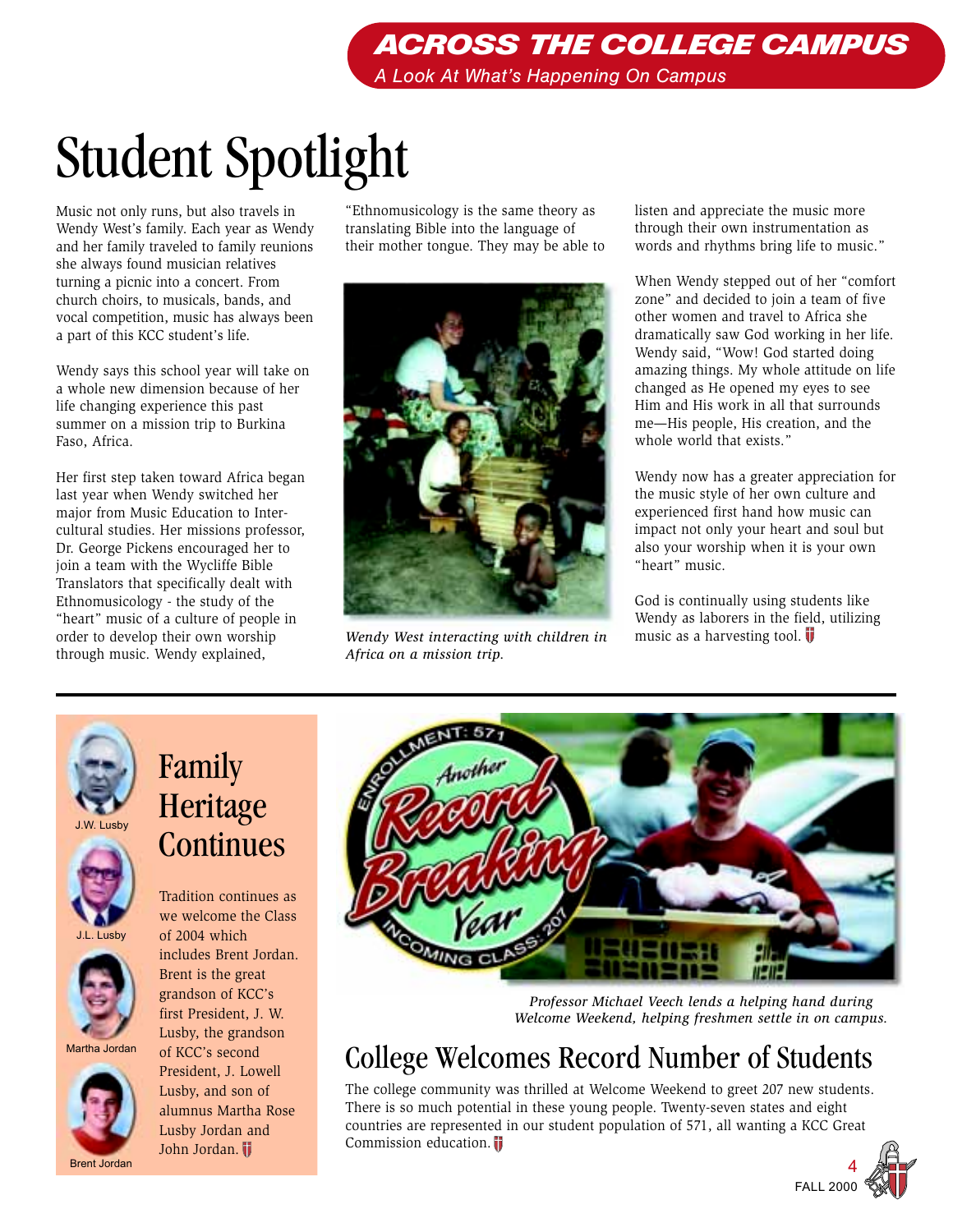## Student Spotlight

Music not only runs, but also travels in Wendy West's family. Each year as Wendy and her family traveled to family reunions she always found musician relatives turning a picnic into a concert. From church choirs, to musicals, bands, and vocal competition, music has always been a part of this KCC student's life.

Wendy says this school year will take on a whole new dimension because of her life changing experience this past summer on a mission trip to Burkina Faso, Africa.

Her first step taken toward Africa began last year when Wendy switched her major from Music Education to Intercultural studies. Her missions professor, Dr. George Pickens encouraged her to join a team with the Wycliffe Bible Translators that specifically dealt with Ethnomusicology - the study of the "heart" music of a culture of people in order to develop their own worship through music. Wendy explained,

"Ethnomusicology is the same theory as translating Bible into the language of their mother tongue. They may be able to



*Wendy West interacting with children in Africa on a mission trip.*

listen and appreciate the music more through their own instrumentation as words and rhythms bring life to music."

When Wendy stepped out of her "comfort zone" and decided to join a team of five other women and travel to Africa she dramatically saw God working in her life. Wendy said, "Wow! God started doing amazing things. My whole attitude on life changed as He opened my eyes to see Him and His work in all that surrounds me—His people, His creation, and the whole world that exists."

Wendy now has a greater appreciation for the music style of her own culture and experienced first hand how music can impact not only your heart and soul but also your worship when it is your own "heart" music.

God is continually using students like Wendy as laborers in the field, utilizing music as a harvesting tool.  $\overline{\mathbf{U}}$ 





J.L. Lusby



Martha Jordan



## Family Heritage **Continues**

Tradition continues as we welcome the Class of 2004 which includes Brent Jordan. Brent is the great grandson of KCC's first President, J. W. Lusby, the grandson of KCC's second President, J. Lowell Lusby, and son of

alumnus Martha Rose Lusby Jordan and John Jordan.



*Professor Michael Veech lends a helping hand during Welcome Weekend, helping freshmen settle in on campus.*

## College Welcomes Record Number of Students

The college community was thrilled at Welcome Weekend to greet 207 new students. There is so much potential in these young people. Twenty-seven states and eight countries are represented in our student population of 571, all wanting a KCC Great Commission education.

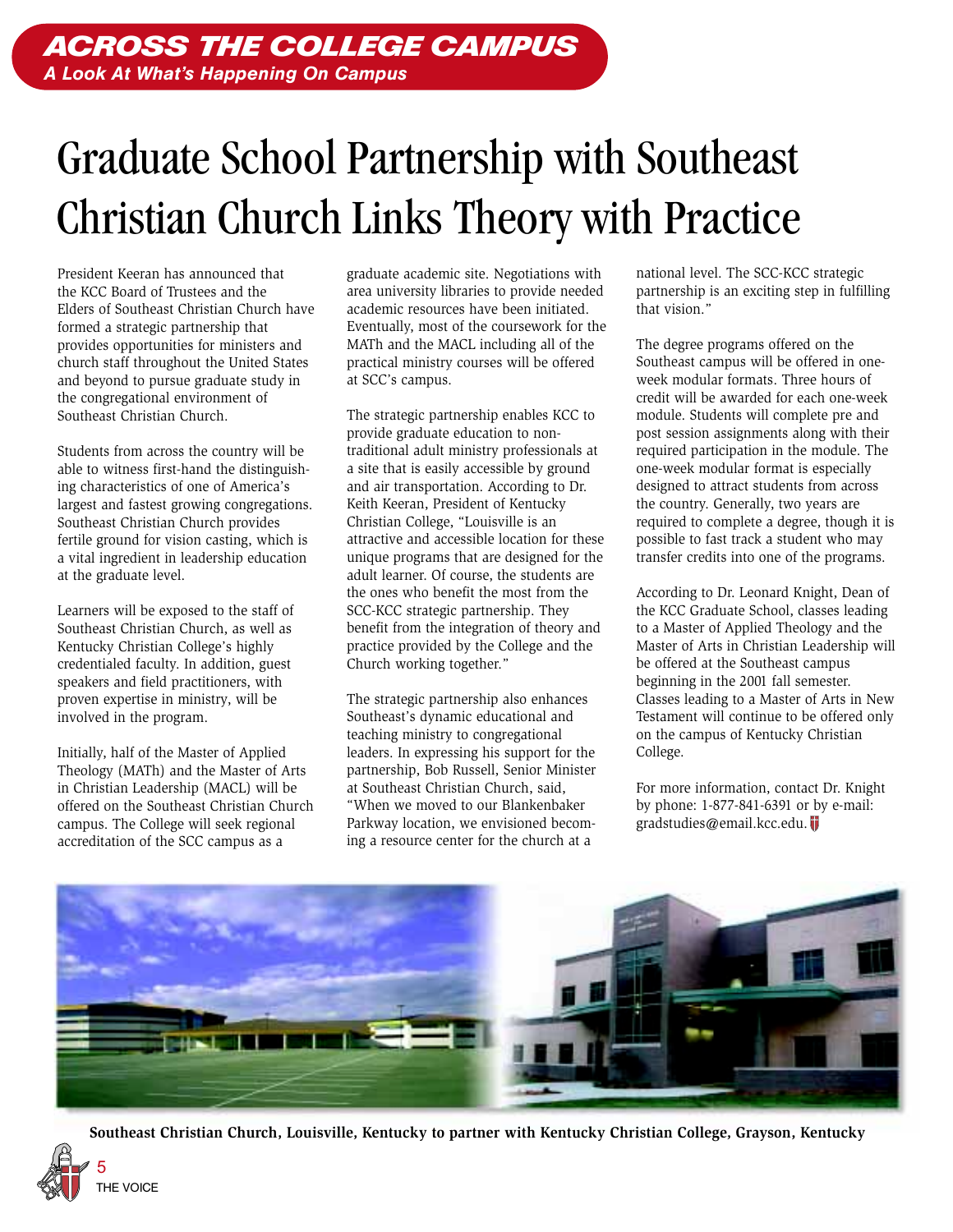## Graduate School Partnership with Southeast Christian Church Links Theory with Practice

President Keeran has announced that the KCC Board of Trustees and the Elders of Southeast Christian Church have formed a strategic partnership that provides opportunities for ministers and church staff throughout the United States and beyond to pursue graduate study in the congregational environment of Southeast Christian Church.

Students from across the country will be able to witness first-hand the distinguishing characteristics of one of America's largest and fastest growing congregations. Southeast Christian Church provides fertile ground for vision casting, which is a vital ingredient in leadership education at the graduate level.

Learners will be exposed to the staff of Southeast Christian Church, as well as Kentucky Christian College's highly credentialed faculty. In addition, guest speakers and field practitioners, with proven expertise in ministry, will be involved in the program.

Initially, half of the Master of Applied Theology (MATh) and the Master of Arts in Christian Leadership (MACL) will be offered on the Southeast Christian Church campus. The College will seek regional accreditation of the SCC campus as a

graduate academic site. Negotiations with area university libraries to provide needed academic resources have been initiated. Eventually, most of the coursework for the MATh and the MACL including all of the practical ministry courses will be offered at SCC's campus.

The strategic partnership enables KCC to provide graduate education to nontraditional adult ministry professionals at a site that is easily accessible by ground and air transportation. According to Dr. Keith Keeran, President of Kentucky Christian College, "Louisville is an attractive and accessible location for these unique programs that are designed for the adult learner. Of course, the students are the ones who benefit the most from the SCC-KCC strategic partnership. They benefit from the integration of theory and practice provided by the College and the Church working together."

The strategic partnership also enhances Southeast's dynamic educational and teaching ministry to congregational leaders. In expressing his support for the partnership, Bob Russell, Senior Minister at Southeast Christian Church, said, "When we moved to our Blankenbaker Parkway location, we envisioned becoming a resource center for the church at a

national level. The SCC-KCC strategic partnership is an exciting step in fulfilling that vision."

The degree programs offered on the Southeast campus will be offered in oneweek modular formats. Three hours of credit will be awarded for each one-week module. Students will complete pre and post session assignments along with their required participation in the module. The one-week modular format is especially designed to attract students from across the country. Generally, two years are required to complete a degree, though it is possible to fast track a student who may transfer credits into one of the programs.

According to Dr. Leonard Knight, Dean of the KCC Graduate School, classes leading to a Master of Applied Theology and the Master of Arts in Christian Leadership will be offered at the Southeast campus beginning in the 2001 fall semester. Classes leading to a Master of Arts in New Testament will continue to be offered only on the campus of Kentucky Christian College.

For more information, contact Dr. Knight by phone: 1-877-841-6391 or by e-mail: gradstudies@email.kcc.edu.



**Southeast Christian Church, Louisville, Kentucky to partner with Kentucky Christian College, Grayson, Kentucky**

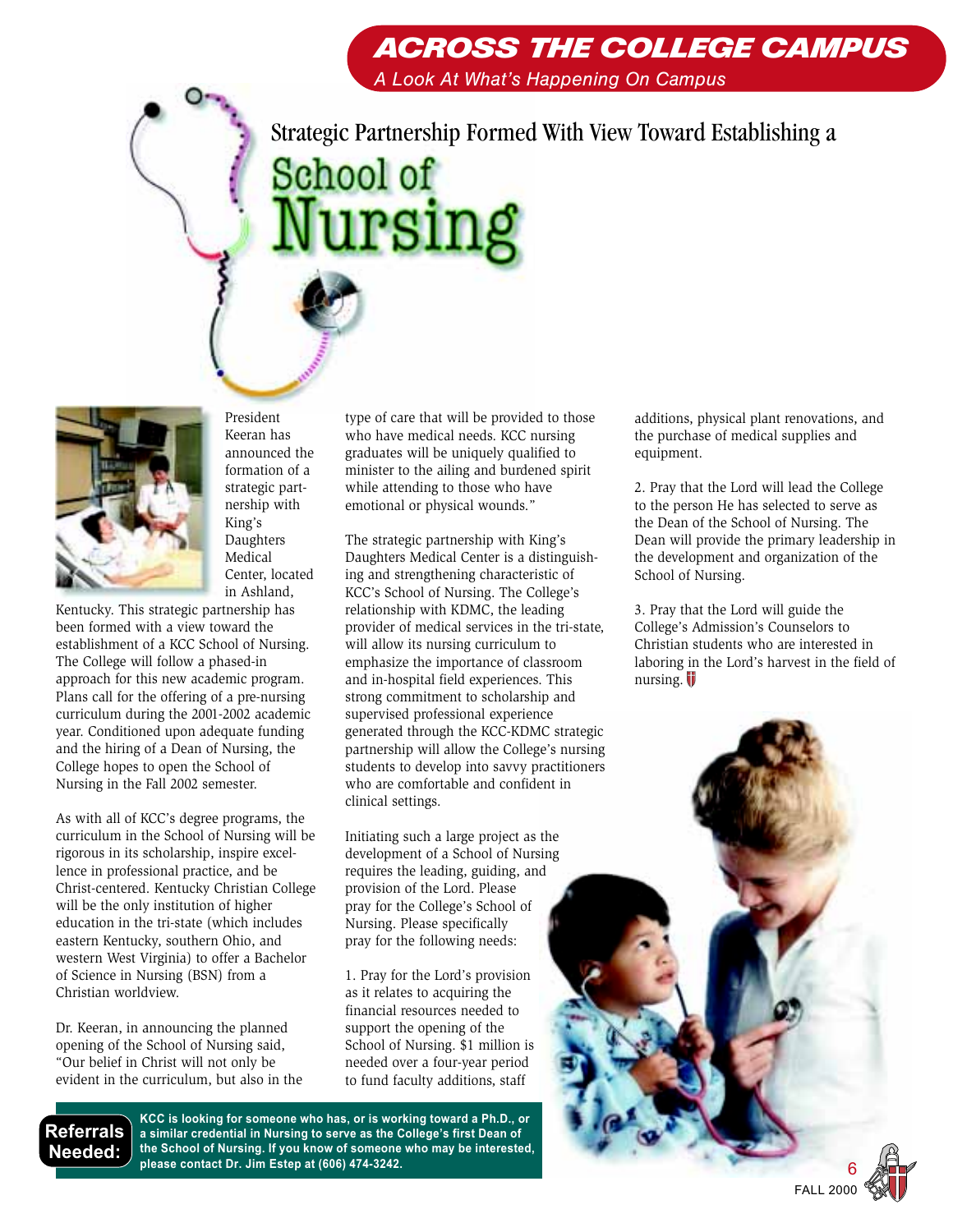Strategic Partnership Formed With View Toward Establishing a School of ursing



Kentucky. This strategic partnership has been formed with a view toward the establishment of a KCC School of Nursing. The College will follow a phased-in approach for this new academic program. Plans call for the offering of a pre-nursing curriculum during the 2001-2002 academic year. Conditioned upon adequate funding and the hiring of a Dean of Nursing, the College hopes to open the School of Nursing in the Fall 2002 semester.

President Keeran has announced the formation of a strategic partnership with King's Daughters Medical Center, located in Ashland,

As with all of KCC's degree programs, the curriculum in the School of Nursing will be rigorous in its scholarship, inspire excellence in professional practice, and be Christ-centered. Kentucky Christian College will be the only institution of higher education in the tri-state (which includes eastern Kentucky, southern Ohio, and western West Virginia) to offer a Bachelor of Science in Nursing (BSN) from a Christian worldview.

Dr. Keeran, in announcing the planned opening of the School of Nursing said, "Our belief in Christ will not only be evident in the curriculum, but also in the type of care that will be provided to those who have medical needs. KCC nursing graduates will be uniquely qualified to minister to the ailing and burdened spirit while attending to those who have emotional or physical wounds."

The strategic partnership with King's Daughters Medical Center is a distinguishing and strengthening characteristic of KCC's School of Nursing. The College's relationship with KDMC, the leading provider of medical services in the tri-state, will allow its nursing curriculum to emphasize the importance of classroom and in-hospital field experiences. This strong commitment to scholarship and supervised professional experience generated through the KCC-KDMC strategic partnership will allow the College's nursing students to develop into savvy practitioners who are comfortable and confident in clinical settings.

Initiating such a large project as the development of a School of Nursing requires the leading, guiding, and provision of the Lord. Please pray for the College's School of Nursing. Please specifically pray for the following needs:

1. Pray for the Lord's provision as it relates to acquiring the financial resources needed to support the opening of the School of Nursing. \$1 million is needed over a four-year period to fund faculty additions, staff

**KCC is looking for someone who has, or is working toward a Ph.D., or a similar credential in Nursing to serve as the College's first Dean of the School of Nursing. If you know of someone who may be interested, please contact Dr. Jim Estep at (606) 474-3242. Referrals Needed:**

additions, physical plant renovations, and the purchase of medical supplies and equipment.

2. Pray that the Lord will lead the College to the person He has selected to serve as the Dean of the School of Nursing. The Dean will provide the primary leadership in the development and organization of the School of Nursing.

3. Pray that the Lord will guide the College's Admission's Counselors to Christian students who are interested in laboring in the Lord's harvest in the field of nursing.

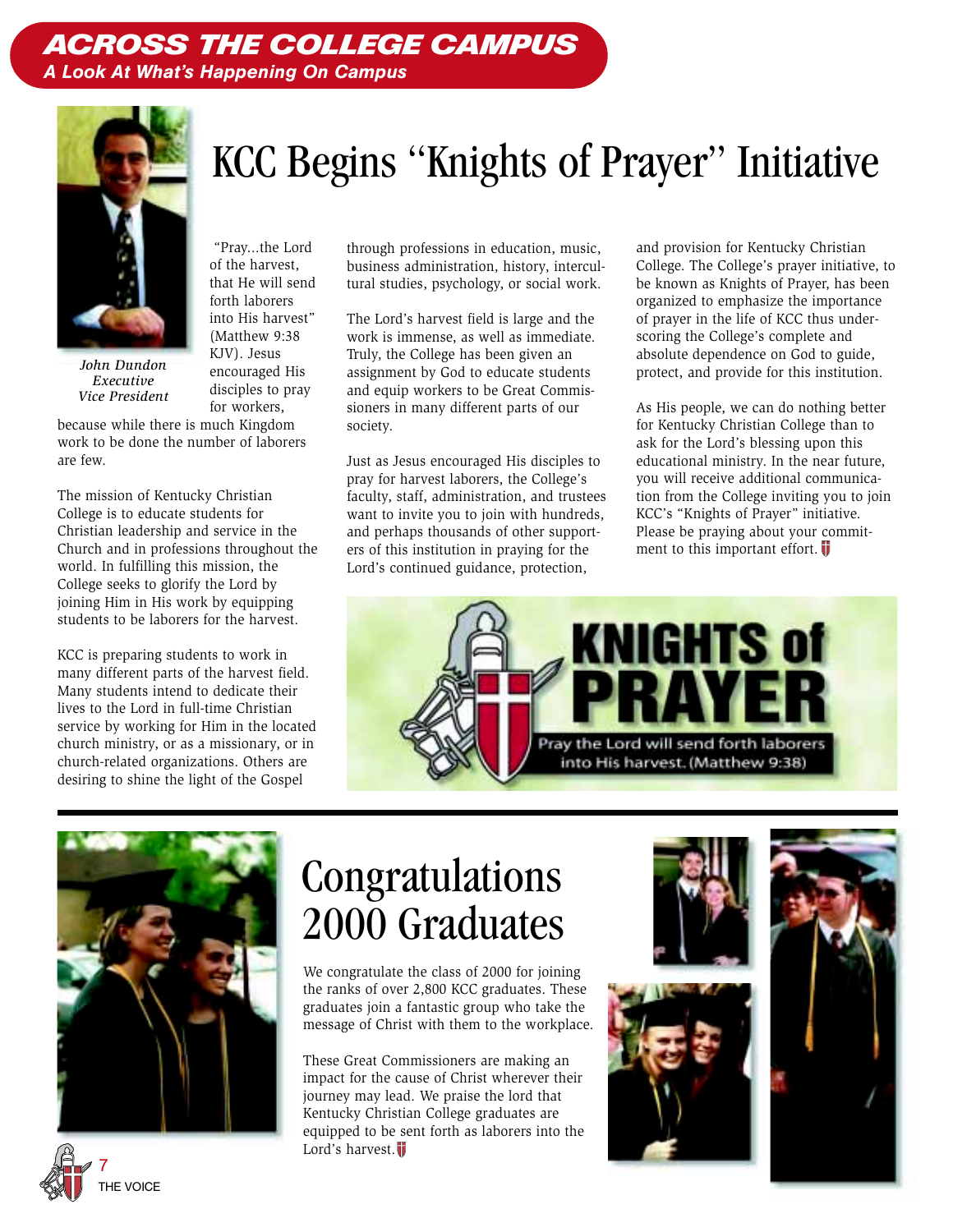### ACROSS THE COLLEGE CAMPUS *A Look At What's Happening On Campus*



into His harvest" *John Dundon Executive*

(Matthew 9:38 KJV). Jesus encouraged His disciples to pray for workers, because while there is much Kingdom *Vice President*

 "Pray...the Lord of the harvest, that He will send forth laborers

work to be done the number of laborers are few.

The mission of Kentucky Christian College is to educate students for Christian leadership and service in the Church and in professions throughout the world. In fulfilling this mission, the College seeks to glorify the Lord by joining Him in His work by equipping students to be laborers for the harvest.

KCC is preparing students to work in many different parts of the harvest field. Many students intend to dedicate their lives to the Lord in full-time Christian service by working for Him in the located church ministry, or as a missionary, or in church-related organizations. Others are desiring to shine the light of the Gospel

through professions in education, music, business administration, history, intercultural studies, psychology, or social work.

KCC Begins "Knights of Prayer" Initiative

The Lord's harvest field is large and the work is immense, as well as immediate. Truly, the College has been given an assignment by God to educate students and equip workers to be Great Commissioners in many different parts of our society.

Just as Jesus encouraged His disciples to pray for harvest laborers, the College's faculty, staff, administration, and trustees want to invite you to join with hundreds, and perhaps thousands of other supporters of this institution in praying for the Lord's continued guidance, protection,

and provision for Kentucky Christian College. The College's prayer initiative, to be known as Knights of Prayer, has been organized to emphasize the importance of prayer in the life of KCC thus underscoring the College's complete and absolute dependence on God to guide, protect, and provide for this institution.

As His people, we can do nothing better for Kentucky Christian College than to ask for the Lord's blessing upon this educational ministry. In the near future, you will receive additional communication from the College inviting you to join KCC's "Knights of Prayer" initiative. Please be praying about your commitment to this important effort.





## Congratulations 2000 Graduates

We congratulate the class of 2000 for joining the ranks of over 2,800 KCC graduates. These graduates join a fantastic group who take the message of Christ with them to the workplace.

These Great Commissioners are making an impact for the cause of Christ wherever their journey may lead. We praise the lord that Kentucky Christian College graduates are equipped to be sent forth as laborers into the Lord's harvest.







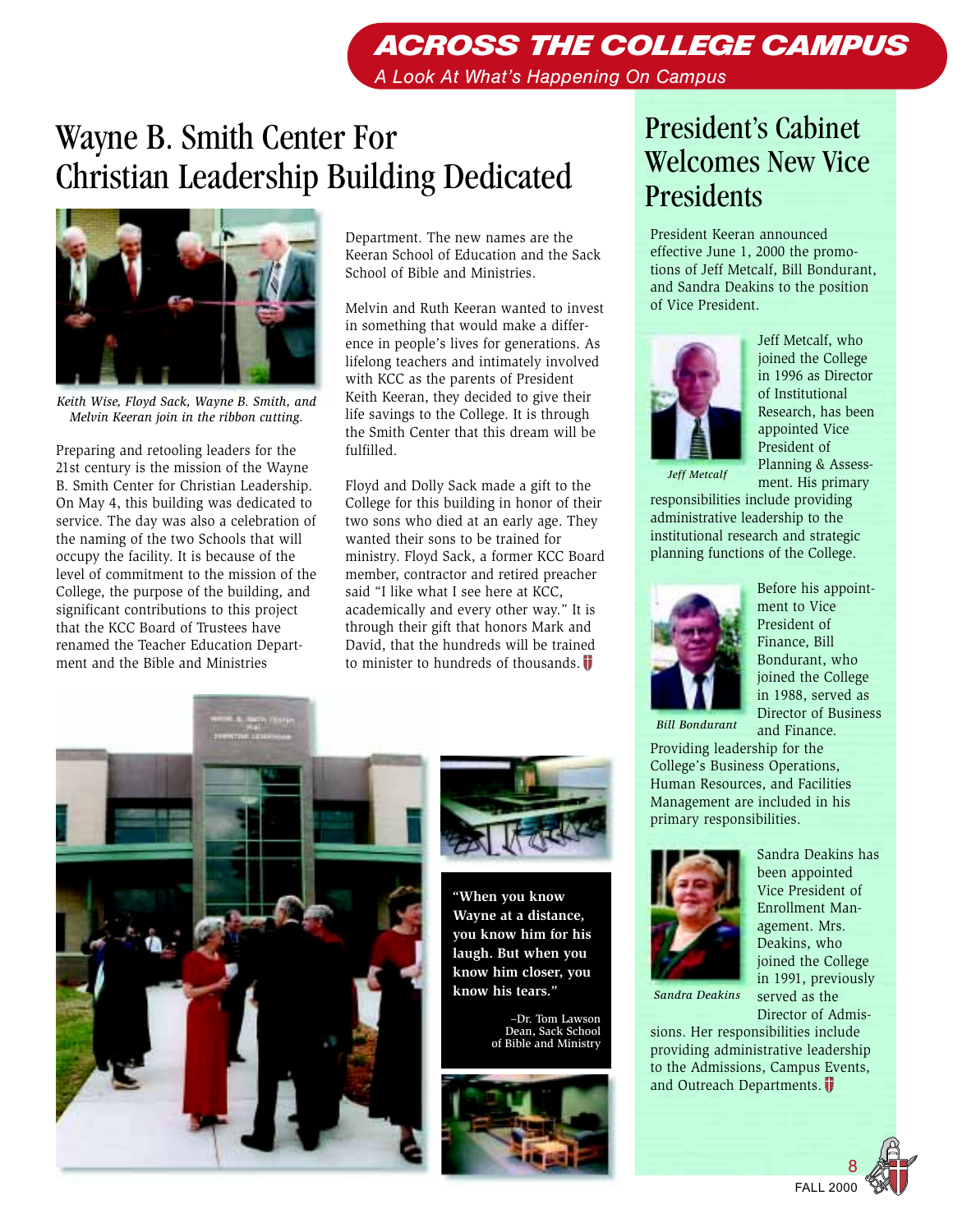## ACROSS THE COLLEGE CAMPUS

*A Look At What's Happening On Campus*

## Wayne B. Smith Center For Christian Leadership Building Dedicated



*Keith Wise, Floyd Sack, Wayne B. Smith, and Melvin Keeran join in the ribbon cutting.*

Preparing and retooling leaders for the 21st century is the mission of the Wayne B. Smith Center for Christian Leadership. On May 4, this building was dedicated to service. The day was also a celebration of the naming of the two Schools that will occupy the facility. It is because of the level of commitment to the mission of the College, the purpose of the building, and significant contributions to this project that the KCC Board of Trustees have renamed the Teacher Education Department and the Bible and Ministries

Department. The new names are the Keeran School of Education and the Sack School of Bible and Ministries.

Melvin and Ruth Keeran wanted to invest in something that would make a difference in people's lives for generations. As lifelong teachers and intimately involved with KCC as the parents of President Keith Keeran, they decided to give their life savings to the College. It is through the Smith Center that this dream will be fulfilled.

Floyd and Dolly Sack made a gift to the College for this building in honor of their two sons who died at an early age. They wanted their sons to be trained for ministry. Floyd Sack, a former KCC Board member, contractor and retired preacher said "I like what I see here at KCC, academically and every other way." It is through their gift that honors Mark and David, that the hundreds will be trained to minister to hundreds of thousands.  $\blacksquare$ 





**"When you know Wayne at a distance, you know him for his laugh. But when you know him closer, you know his tears."**

> –Dr. Tom Lawson Dean, Sack School of Bible and Ministry



### President's Cabinet Welcomes New Vice Presidents

President Keeran announced effective June 1, 2000 the promotions of Jeff Metcalf, Bill Bondurant, and Sandra Deakins to the position of Vice President.



Jeff Metcalf, who joined the College in 1996 as Director of Institutional Research, has been appointed Vice President of Planning & Assessment. His primary

*Jeff Metcalf*

responsibilities include providing administrative leadership to the institutional research and strategic planning functions of the College.



Before his appointment to Vice President of Finance, Bill Bondurant, who joined the College in 1988, served as Director of Business and Finance.

*Bill Bondurant*

Providing leadership for the College's Business Operations, Human Resources, and Facilities Management are included in his primary responsibilities.



*Sandra Deakins*

Sandra Deakins has been appointed Vice President of Enrollment Management. Mrs. Deakins, who joined the College in 1991, previously served as the Director of Admis-

sions. Her responsibilities include providing administrative leadership to the Admissions, Campus Events, and Outreach Departments.

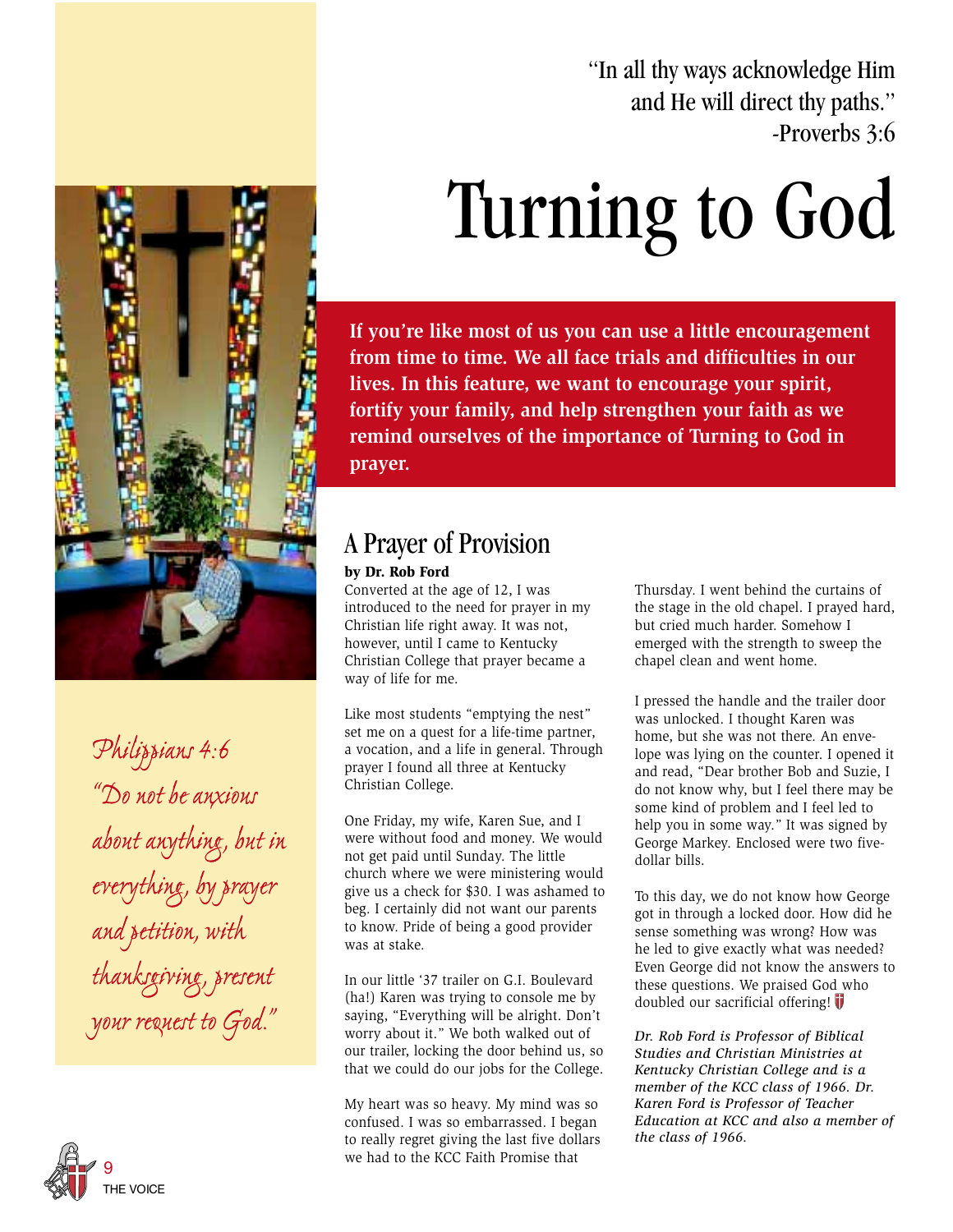"In all thy ways acknowledge Him and He will direct thy paths." -Proverbs 3:6

# Turning to God

**If you're like most of us you can use a little encouragement from time to time. We all face trials and difficulties in our lives. In this feature, we want to encourage your spirit, fortify your family, and help strengthen your faith as we remind ourselves of the importance of Turning to God in prayer.**

### A Prayer of Provision

#### **by Dr. Rob Ford**

Converted at the age of 12, I was introduced to the need for prayer in my Christian life right away. It was not, however, until I came to Kentucky Christian College that prayer became a way of life for me.

Like most students "emptying the nest" set me on a quest for a life-time partner, a vocation, and a life in general. Through prayer I found all three at Kentucky Christian College.

One Friday, my wife, Karen Sue, and I were without food and money. We would not get paid until Sunday. The little church where we were ministering would give us a check for \$30. I was ashamed to beg. I certainly did not want our parents to know. Pride of being a good provider was at stake.

In our little '37 trailer on G.I. Boulevard (ha!) Karen was trying to console me by saying, "Everything will be alright. Don't worry about it." We both walked out of our trailer, locking the door behind us, so that we could do our jobs for the College.

My heart was so heavy. My mind was so confused. I was so embarrassed. I began to really regret giving the last five dollars we had to the KCC Faith Promise that

Thursday. I went behind the curtains of the stage in the old chapel. I prayed hard, but cried much harder. Somehow I emerged with the strength to sweep the chapel clean and went home.

I pressed the handle and the trailer door was unlocked. I thought Karen was home, but she was not there. An envelope was lying on the counter. I opened it and read, "Dear brother Bob and Suzie, I do not know why, but I feel there may be some kind of problem and I feel led to help you in some way." It was signed by George Markey. Enclosed were two fivedollar bills.

To this day, we do not know how George got in through a locked door. How did he sense something was wrong? How was he led to give exactly what was needed? Even George did not know the answers to these questions. We praised God who doubled our sacrificial offering!  $\overline{\mathbf{V}}$ 

*Dr. Rob Ford is Professor of Biblical Studies and Christian Ministries at Kentucky Christian College and is a member of the KCC class of 1966. Dr. Karen Ford is Professor of Teacher Education at KCC and also a member of the class of 1966.*

*Philippians 4:6 "Do not be anxious about anything, but in everything, by prayer and petition, with thanksgiving, present your request to God."* about anything, but<br>everything, by praye<br>and petition, with

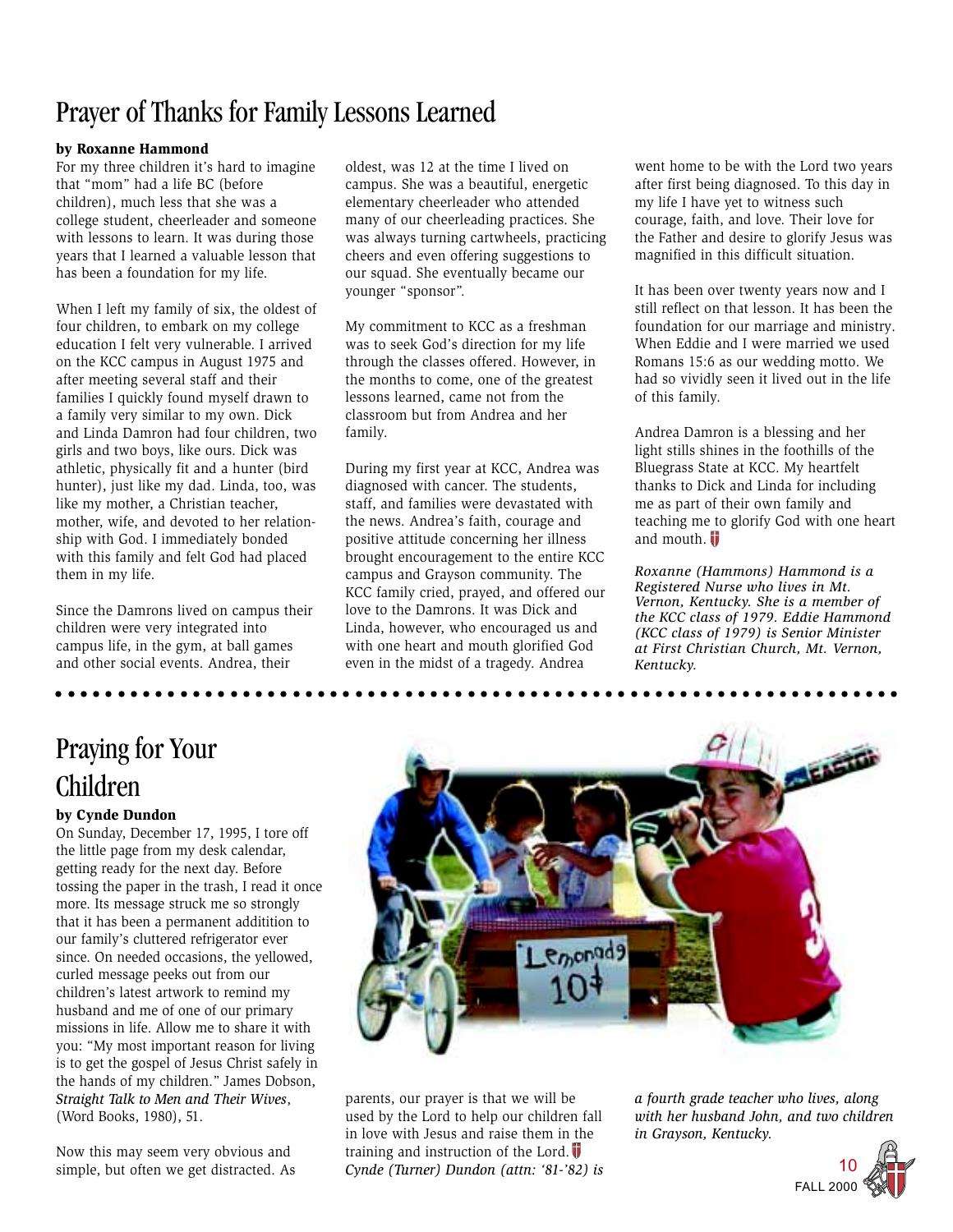### Prayer of Thanks for Family Lessons Learned

#### **by Roxanne Hammond**

For my three children it's hard to imagine that "mom" had a life BC (before children), much less that she was a college student, cheerleader and someone with lessons to learn. It was during those years that I learned a valuable lesson that has been a foundation for my life.

When I left my family of six, the oldest of four children, to embark on my college education I felt very vulnerable. I arrived on the KCC campus in August 1975 and after meeting several staff and their families I quickly found myself drawn to a family very similar to my own. Dick and Linda Damron had four children, two girls and two boys, like ours. Dick was athletic, physically fit and a hunter (bird hunter), just like my dad. Linda, too, was like my mother, a Christian teacher, mother, wife, and devoted to her relationship with God. I immediately bonded with this family and felt God had placed them in my life.

Since the Damrons lived on campus their children were very integrated into campus life, in the gym, at ball games and other social events. Andrea, their

oldest, was 12 at the time I lived on campus. She was a beautiful, energetic elementary cheerleader who attended many of our cheerleading practices. She was always turning cartwheels, practicing cheers and even offering suggestions to our squad. She eventually became our younger "sponsor".

My commitment to KCC as a freshman was to seek God's direction for my life through the classes offered. However, in the months to come, one of the greatest lessons learned, came not from the classroom but from Andrea and her family.

During my first year at KCC, Andrea was diagnosed with cancer. The students, staff, and families were devastated with the news. Andrea's faith, courage and positive attitude concerning her illness brought encouragement to the entire KCC campus and Grayson community. The KCC family cried, prayed, and offered our love to the Damrons. It was Dick and Linda, however, who encouraged us and with one heart and mouth glorified God even in the midst of a tragedy. Andrea

went home to be with the Lord two years after first being diagnosed. To this day in my life I have yet to witness such courage, faith, and love. Their love for the Father and desire to glorify Jesus was magnified in this difficult situation.

It has been over twenty years now and I still reflect on that lesson. It has been the foundation for our marriage and ministry. When Eddie and I were married we used Romans 15:6 as our wedding motto. We had so vividly seen it lived out in the life of this family.

Andrea Damron is a blessing and her light stills shines in the foothills of the Bluegrass State at KCC. My heartfelt thanks to Dick and Linda for including me as part of their own family and teaching me to glorify God with one heart and mouth.  $\blacksquare$ 

*Roxanne (Hammons) Hammond is a Registered Nurse who lives in Mt. Vernon, Kentucky. She is a member of the KCC class of 1979. Eddie Hammond (KCC class of 1979) is Senior Minister at First Christian Church, Mt. Vernon, Kentucky.*

### Praying for Your Children

#### **by Cynde Dundon**

On Sunday, December 17, 1995, I tore off the little page from my desk calendar, getting ready for the next day. Before tossing the paper in the trash, I read it once more. Its message struck me so strongly that it has been a permanent additition to our family's cluttered refrigerator ever since. On needed occasions, the yellowed, curled message peeks out from our children's latest artwork to remind my husband and me of one of our primary missions in life. Allow me to share it with you: "My most important reason for living is to get the gospel of Jesus Christ safely in the hands of my children." James Dobson, *Straight Talk to Men and Their Wives*, (Word Books, 1980), 51.

Now this may seem very obvious and simple, but often we get distracted. As



parents, our prayer is that we will be used by the Lord to help our children fall in love with Jesus and raise them in the training and instruction of the Lord.  $\overline{\mathbf{V}}$ *Cynde (Turner) Dundon (attn: '81-'82) is* *a fourth grade teacher who lives, along with her husband John, and two children in Grayson, Kentucky.*

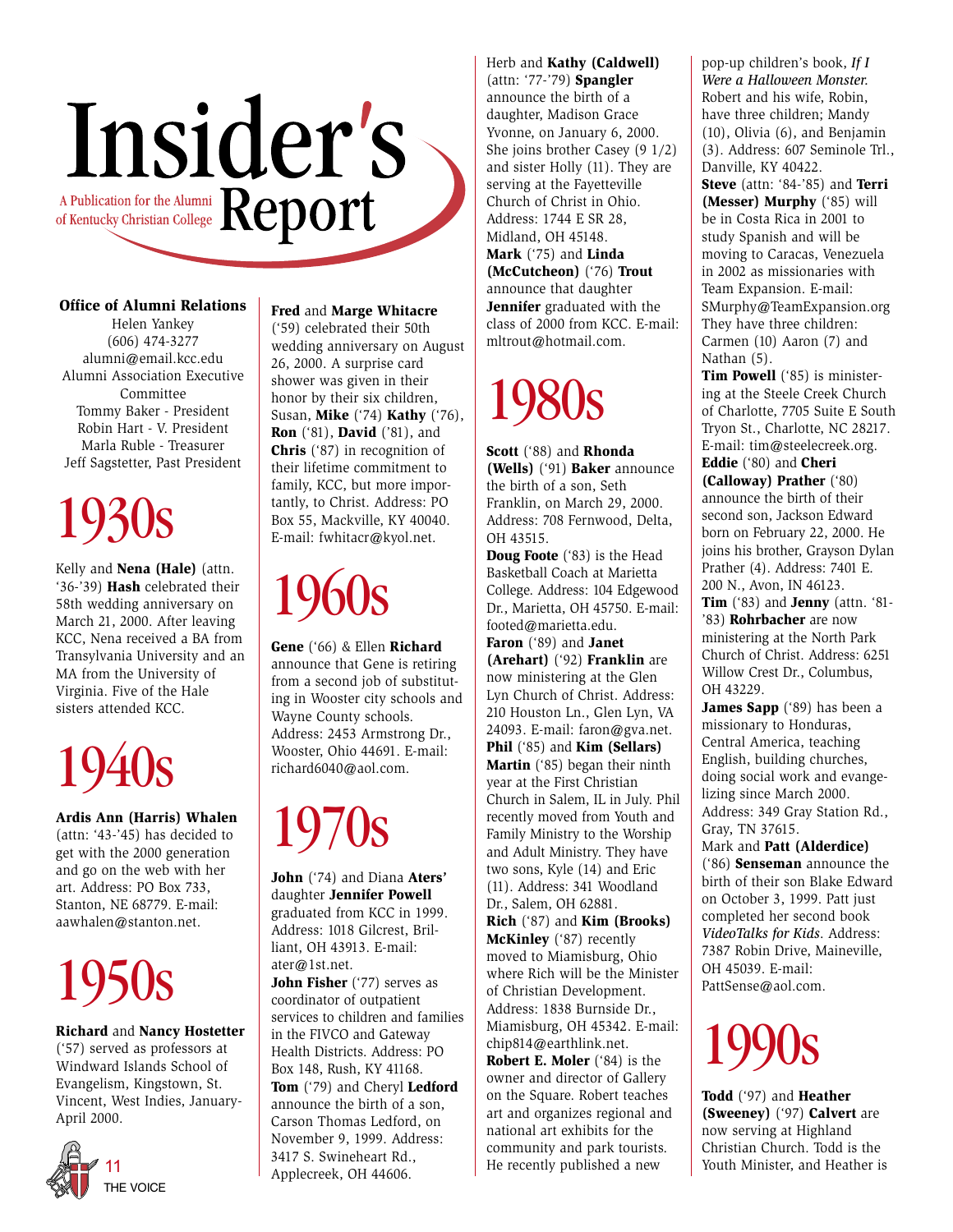

#### **Office of Alumni Relations**

Helen Yankey (606) 474-3277 alumni@email.kcc.edu Alumni Association Executive Committee Tommy Baker - President Robin Hart - V. President Marla Ruble - Treasurer Jeff Sagstetter, Past President

## 1930s

Kelly and **Nena (Hale)** (attn. '36-'39) **Hash** celebrated their 58th wedding anniversary on March 21, 2000. After leaving KCC, Nena received a BA from Transylvania University and an MA from the University of Virginia. Five of the Hale sisters attended KCC.

## 1940s

**Ardis Ann (Harris) Whalen** (attn: '43-'45) has decided to get with the 2000 generation and go on the web with her art. Address: PO Box 733, Stanton, NE 68779. E-mail: aawhalen@stanton.net.

## 1950s

**Richard** and **Nancy Hostetter** ('57) served as professors at Windward Islands School of Evangelism, Kingstown, St. Vincent, West Indies, January-April 2000.



**Fred** and **Marge Whitacre**

('59) celebrated their 50th wedding anniversary on August 26, 2000. A surprise card shower was given in their honor by their six children, Susan, **Mike** ('74) **Kathy** ('76), **Ron** ('81), **David** ('81), and **Chris** ('87) in recognition of their lifetime commitment to family, KCC, but more importantly, to Christ. Address: PO Box 55, Mackville, KY 40040. E-mail: fwhitacr@kyol.net.

## 1960s

**Gene** ('66) & Ellen **Richard** announce that Gene is retiring from a second job of substituting in Wooster city schools and Wayne County schools. Address: 2453 Armstrong Dr., Wooster, Ohio 44691. E-mail: richard6040@aol.com.

## 1970s

**John** ('74) and Diana **Aters'** daughter **Jennifer Powell** graduated from KCC in 1999. Address: 1018 Gilcrest, Brilliant, OH 43913. E-mail: ater@1st.net.

**John Fisher** ('77) serves as coordinator of outpatient services to children and families in the FIVCO and Gateway Health Districts. Address: PO Box 148, Rush, KY 41168. **Tom** ('79) and Cheryl **Ledford** announce the birth of a son, Carson Thomas Ledford, on November 9, 1999. Address: 3417 S. Swineheart Rd., Applecreek, OH 44606.

Herb and **Kathy (Caldwell)** (attn: '77-'79) **Spangler** announce the birth of a daughter, Madison Grace Yvonne, on January 6, 2000. She joins brother Casey (9 1/2) and sister Holly (11). They are serving at the Fayetteville Church of Christ in Ohio. Address: 1744 E SR 28, Midland, OH 45148. **Mark** ('75) and **Linda (McCutcheon)** ('76) **Trout** announce that daughter **Jennifer** graduated with the class of 2000 from KCC. E-mail: mltrout@hotmail.com.

## 1980s

**Scott** ('88) and **Rhonda (Wells)** ('91) **Baker** announce the birth of a son, Seth Franklin, on March 29, 2000. Address: 708 Fernwood, Delta, OH 43515.

**Doug Foote** ('83) is the Head Basketball Coach at Marietta College. Address: 104 Edgewood Dr., Marietta, OH 45750. E-mail: footed@marietta.edu.

**Faron** ('89) and **Janet (Arehart)** ('92) **Franklin** are now ministering at the Glen Lyn Church of Christ. Address: 210 Houston Ln., Glen Lyn, VA 24093. E-mail: faron@gva.net. **Phil** ('85) and **Kim (Sellars) Martin** ('85) began their ninth year at the First Christian Church in Salem, IL in July. Phil recently moved from Youth and Family Ministry to the Worship and Adult Ministry. They have two sons, Kyle (14) and Eric (11). Address: 341 Woodland Dr., Salem, OH 62881. **Rich** ('87) and **Kim (Brooks) McKinley** ('87) recently

moved to Miamisburg, Ohio where Rich will be the Minister of Christian Development. Address: 1838 Burnside Dr., Miamisburg, OH 45342. E-mail: chip814@earthlink.net.

**Robert E. Moler** ('84) is the owner and director of Gallery on the Square. Robert teaches art and organizes regional and national art exhibits for the community and park tourists. He recently published a new

pop-up children's book, *If I Were a Halloween Monster.* Robert and his wife, Robin, have three children; Mandy (10), Olivia (6), and Benjamin (3). Address: 607 Seminole Trl., Danville, KY 40422.

**Steve** (attn: '84-'85) and **Terri (Messer) Murphy** ('85) will be in Costa Rica in 2001 to study Spanish and will be moving to Caracas, Venezuela in 2002 as missionaries with Team Expansion. E-mail: SMurphy@TeamExpansion.org They have three children: Carmen (10) Aaron (7) and Nathan (5).

**Tim Powell** ('85) is ministering at the Steele Creek Church of Charlotte, 7705 Suite E South Tryon St., Charlotte, NC 28217. E-mail: tim@steelecreek.org. **Eddie** ('80) and **Cheri**

**(Calloway) Prather** ('80) announce the birth of their second son, Jackson Edward born on February 22, 2000. He joins his brother, Grayson Dylan Prather (4). Address: 7401 E. 200 N., Avon, IN 46123.

**Tim** ('83) and **Jenny** (attn. '81- '83) **Rohrbacher** are now ministering at the North Park Church of Christ. Address: 6251 Willow Crest Dr., Columbus, OH 43229.

James Sapp ('89) has been a missionary to Honduras, Central America, teaching English, building churches, doing social work and evangelizing since March 2000. Address: 349 Gray Station Rd., Gray, TN 37615.

Mark and **Patt (Alderdice)** ('86) **Senseman** announce the birth of their son Blake Edward on October 3, 1999. Patt just completed her second book *VideoTalks for Kids*. Address: 7387 Robin Drive, Maineville, OH 45039. E-mail: PattSense@aol.com.



**Todd** ('97) and **Heather (Sweeney)** ('97) **Calvert** are now serving at Highland Christian Church. Todd is the Youth Minister, and Heather is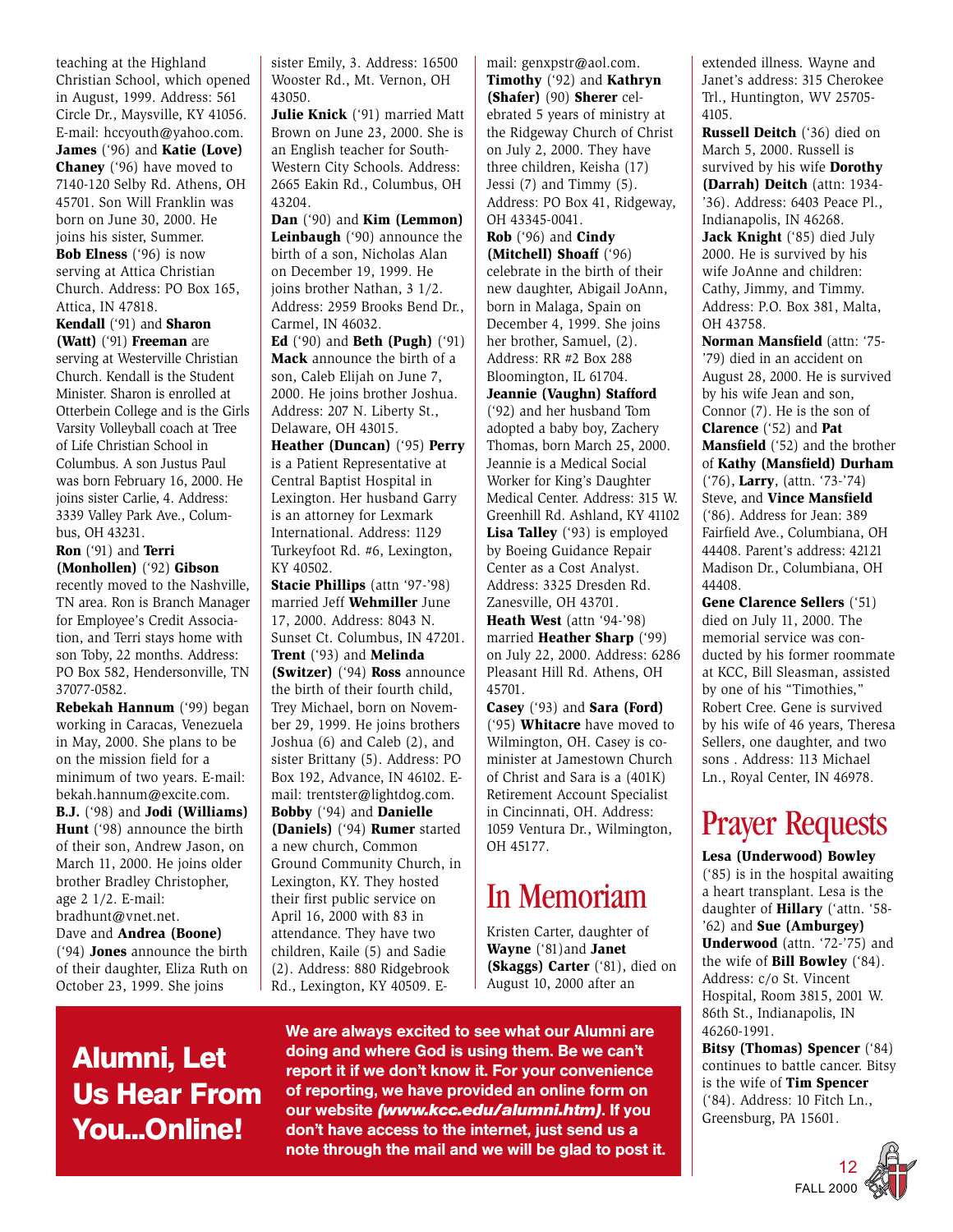teaching at the Highland Christian School, which opened in August, 1999. Address: 561 Circle Dr., Maysville, KY 41056. E-mail: hccyouth@yahoo.com. **James** ('96) and **Katie (Love) Chaney** ('96) have moved to 7140-120 Selby Rd. Athens, OH 45701. Son Will Franklin was born on June 30, 2000. He joins his sister, Summer. **Bob Elness** ('96) is now serving at Attica Christian Church. Address: PO Box 165, Attica, IN 47818. **Kendall** ('91) and **Sharon (Watt)** ('91) **Freeman** are serving at Westerville Christian

Church. Kendall is the Student Minister. Sharon is enrolled at Otterbein College and is the Girls Varsity Volleyball coach at Tree of Life Christian School in Columbus. A son Justus Paul was born February 16, 2000. He joins sister Carlie, 4. Address: 3339 Valley Park Ave., Columbus, OH 43231.

#### **Ron** ('91) and **Terri (Monhollen)** ('92) **Gibson**

recently moved to the Nashville, TN area. Ron is Branch Manager for Employee's Credit Association, and Terri stays home with son Toby, 22 months. Address: PO Box 582, Hendersonville, TN 37077-0582.

**Rebekah Hannum** ('99) began working in Caracas, Venezuela in May, 2000. She plans to be on the mission field for a minimum of two years. E-mail: bekah.hannum@excite.com. **B.J.** ('98) and **Jodi (Williams)**

**Hunt** ('98) announce the birth of their son, Andrew Jason, on March 11, 2000. He joins older brother Bradley Christopher, age 2 1/2. E-mail: bradhunt@vnet.net.

Dave and **Andrea (Boone)** ('94) **Jones** announce the birth of their daughter, Eliza Ruth on October 23, 1999. She joins

sister Emily, 3. Address: 16500 Wooster Rd., Mt. Vernon, OH 43050.

**Julie Knick** ('91) married Matt Brown on June 23, 2000. She is an English teacher for South-Western City Schools. Address: 2665 Eakin Rd., Columbus, OH 43204.

**Dan** ('90) and **Kim (Lemmon) Leinbaugh** ('90) announce the birth of a son, Nicholas Alan on December 19, 1999. He joins brother Nathan, 3 1/2. Address: 2959 Brooks Bend Dr., Carmel, IN 46032.

**Ed** ('90) and **Beth (Pugh)** ('91) **Mack** announce the birth of a son, Caleb Elijah on June 7, 2000. He joins brother Joshua. Address: 207 N. Liberty St., Delaware, OH 43015.

**Heather (Duncan)** ('95) **Perry** is a Patient Representative at Central Baptist Hospital in Lexington. Her husband Garry is an attorney for Lexmark International. Address: 1129 Turkeyfoot Rd. #6, Lexington, KY 40502.

**Stacie Phillips** (attn '97-'98) married Jeff **Wehmiller** June 17, 2000. Address: 8043 N. Sunset Ct. Columbus, IN 47201. **Trent** ('93) and **Melinda (Switzer)** ('94) **Ross** announce the birth of their fourth child, Trey Michael, born on November 29, 1999. He joins brothers Joshua (6) and Caleb (2), and sister Brittany (5). Address: PO Box 192, Advance, IN 46102. Email: trentster@lightdog.com. **Bobby** ('94) and **Danielle (Daniels)** ('94) **Rumer** started a new church, Common Ground Community Church, in Lexington, KY. They hosted their first public service on April 16, 2000 with 83 in attendance. They have two children, Kaile (5) and Sadie (2). Address: 880 Ridgebrook Rd., Lexington, KY 40509. E-

mail: genxpstr@aol.com. **Timothy** ('92) and **Kathryn (Shafer)** (90) **Sherer** celebrated 5 years of ministry at the Ridgeway Church of Christ on July 2, 2000. They have three children, Keisha (17) Jessi (7) and Timmy (5). Address: PO Box 41, Ridgeway, OH 43345-0041.

**Rob** ('96) and **Cindy (Mitchell) Shoaff** ('96) celebrate in the birth of their new daughter, Abigail JoAnn, born in Malaga, Spain on December 4, 1999. She joins her brother, Samuel, (2). Address: RR #2 Box 288 Bloomington, IL 61704. **Jeannie (Vaughn) Stafford** ('92) and her husband Tom adopted a baby boy, Zachery Thomas, born March 25, 2000. Jeannie is a Medical Social Worker for King's Daughter Medical Center. Address: 315 W. Greenhill Rd. Ashland, KY 41102 **Lisa Talley** ('93) is employed by Boeing Guidance Repair Center as a Cost Analyst. Address: 3325 Dresden Rd. Zanesville, OH 43701. **Heath West** (attn '94-'98) married **Heather Sharp** ('99) on July 22, 2000. Address: 6286 Pleasant Hill Rd. Athens, OH 45701.

**Casey** ('93) and **Sara (Ford)** ('95) **Whitacre** have moved to Wilmington, OH. Casey is cominister at Jamestown Church of Christ and Sara is a (401K) Retirement Account Specialist in Cincinnati, OH. Address: 1059 Ventura Dr., Wilmington, OH 45177.

### In Memoriam

Kristen Carter, daughter of **Wayne** ('81)and **Janet (Skaggs) Carter** ('81), died on August 10, 2000 after an

### **Alumni, Let Us Hear From You...Online!**

We are always excited to see what our Alumni are doing and where God is using them. Be we can't report it if we don't know it. For your convenience of reporting, we have provided an online form on our website *(www.kcc.edu/alumni.htm)*. If you don't have access to the internet, just send us a note through the mail and we will be glad to post it. extended illness. Wayne and Janet's address: 315 Cherokee Trl., Huntington, WV 25705- 4105.

**Russell Deitch** ('36) died on March 5, 2000. Russell is survived by his wife **Dorothy (Darrah) Deitch** (attn: 1934- '36). Address: 6403 Peace Pl., Indianapolis, IN 46268.

**Jack Knight** ('85) died July 2000. He is survived by his wife JoAnne and children: Cathy, Jimmy, and Timmy. Address: P.O. Box 381, Malta, OH 43758.

**Norman Mansfield** (attn: '75- '79) died in an accident on August 28, 2000. He is survived by his wife Jean and son, Connor (7). He is the son of **Clarence** ('52) and **Pat Mansfield** ('52) and the brother of **Kathy (Mansfield) Durham** ('76), **Larry**, (attn. '73-'74) Steve, and **Vince Mansfield** ('86). Address for Jean: 389 Fairfield Ave., Columbiana, OH 44408. Parent's address: 42121 Madison Dr., Columbiana, OH 44408.

**Gene Clarence Sellers** ('51) died on July 11, 2000. The memorial service was conducted by his former roommate at KCC, Bill Sleasman, assisted by one of his "Timothies," Robert Cree. Gene is survived by his wife of 46 years, Theresa Sellers, one daughter, and two sons . Address: 113 Michael Ln., Royal Center, IN 46978.

## Prayer Requests

**Lesa (Underwood) Bowley** ('85) is in the hospital awaiting a heart transplant. Lesa is the daughter of **Hillary** ('attn. '58- '62) and **Sue (Amburgey) Underwood** (attn. '72-'75) and the wife of **Bill Bowley** ('84). Address: c/o St. Vincent Hospital, Room 3815, 2001 W. 86th St., Indianapolis, IN 46260-1991.

**Bitsy (Thomas) Spencer** ('84) continues to battle cancer. Bitsy is the wife of **Tim Spencer** ('84). Address: 10 Fitch Ln., Greensburg, PA 15601.

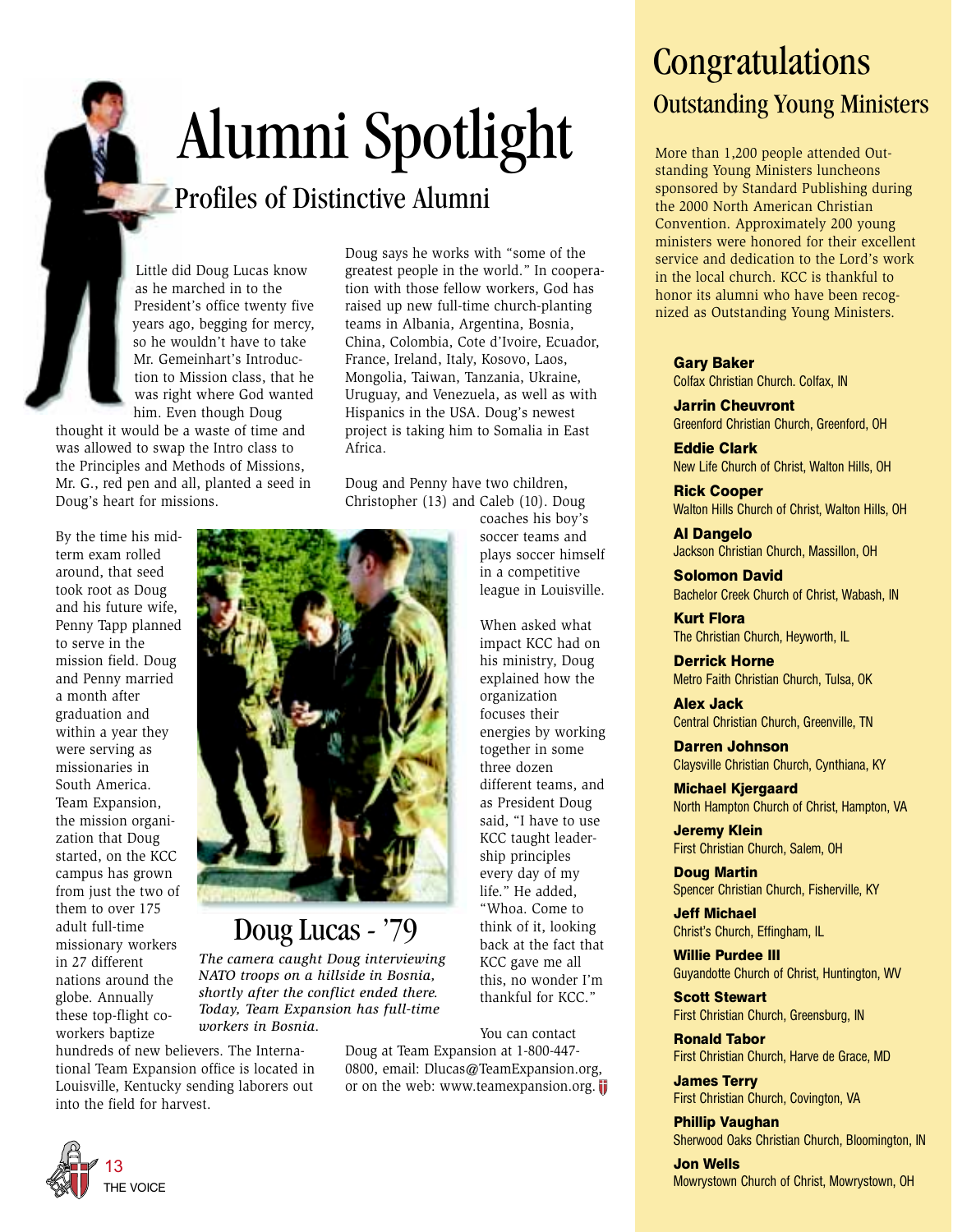# Alumni Spotlight

Doug says he works with "some of the greatest people in the world." In cooperation with those fellow workers, God has raised up new full-time church-planting teams in Albania, Argentina, Bosnia, China, Colombia, Cote d'Ivoire, Ecuador, France, Ireland, Italy, Kosovo, Laos, Mongolia, Taiwan, Tanzania, Ukraine,

### Profiles of Distinctive Alumni

Little did Doug Lucas know as he marched in to the President's office twenty five years ago, begging for mercy, so he wouldn't have to take Mr. Gemeinhart's Introduction to Mission class, that he was right where God wanted him. Even though Doug

thought it would be a waste of time and was allowed to swap the Intro class to the Principles and Methods of Missions, Mr. G., red pen and all, planted a seed in Doug's heart for missions.

By the time his midterm exam rolled around, that seed took root as Doug and his future wife, Penny Tapp planned to serve in the mission field. Doug and Penny married a month after graduation and within a year they were serving as missionaries in South America. Team Expansion, the mission organization that Doug started, on the KCC campus has grown from just the two of them to over 175 adult full-time missionary workers in 27 different nations around the globe. Annually these top-flight coworkers baptize

Uruguay, and Venezuela, as well as with Hispanics in the USA. Doug's newest project is taking him to Somalia in East Africa. Doug and Penny have two children, Christopher (13) and Caleb (10). Doug coaches his boy's soccer teams and plays soccer himself in a competitive league in Louisville.

When asked what impact KCC had on his ministry, Doug explained how the organization focuses their energies by working together in some three dozen different teams, and as President Doug said, "I have to use KCC taught leadership principles every day of my life." He added, "Whoa. Come to think of it, looking back at the fact that KCC gave me all this, no wonder I'm thankful for KCC."

You can contact Doug at Team Expansion at 1-800-447- 0800, email: Dlucas@TeamExpansion.org, or on the web: www.teamexpansion.org.

## **Congratulations** Outstanding Young Ministers

More than 1,200 people attended Outstanding Young Ministers luncheons sponsored by Standard Publishing during the 2000 North American Christian Convention. Approximately 200 young ministers were honored for their excellent service and dedication to the Lord's work in the local church. KCC is thankful to honor its alumni who have been recognized as Outstanding Young Ministers.

#### **Gary Baker**

Colfax Christian Church. Colfax, IN

**Jarrin Cheuvront** Greenford Christian Church, Greenford, OH

**Eddie Clark** New Life Church of Christ, Walton Hills, OH

**Rick Cooper** Walton Hills Church of Christ, Walton Hills, OH

**Al Dangelo** Jackson Christian Church, Massillon, OH

**Solomon David** Bachelor Creek Church of Christ, Wabash, IN

**Kurt Flora** The Christian Church, Heyworth, IL

**Derrick Horne** Metro Faith Christian Church, Tulsa, OK

**Alex Jack** Central Christian Church, Greenville, TN

**Darren Johnson** Claysville Christian Church, Cynthiana, KY

**Michael Kjergaard** North Hampton Church of Christ, Hampton, VA

**Jeremy Klein** First Christian Church, Salem, OH

**Doug Martin** Spencer Christian Church, Fisherville, KY

**Jeff Michael** Christ's Church, Effingham, IL

**Willie Purdee III** Guyandotte Church of Christ, Huntington, WV

**Scott Stewart** First Christian Church, Greensburg, IN

**Ronald Tabor** First Christian Church, Harve de Grace, MD

**James Terry** First Christian Church, Covington, VA

**Phillip Vaughan** Sherwood Oaks Christian Church, Bloomington, IN

**Jon Wells** Mowrystown Church of Christ, Mowrystown, OH



### Doug Lucas - '79

*The camera caught Doug interviewing NATO troops on a hillside in Bosnia, shortly after the conflict ended there. Today, Team Expansion has full-time workers in Bosnia.*

hundreds of new believers. The International Team Expansion office is located in Louisville, Kentucky sending laborers out into the field for harvest.

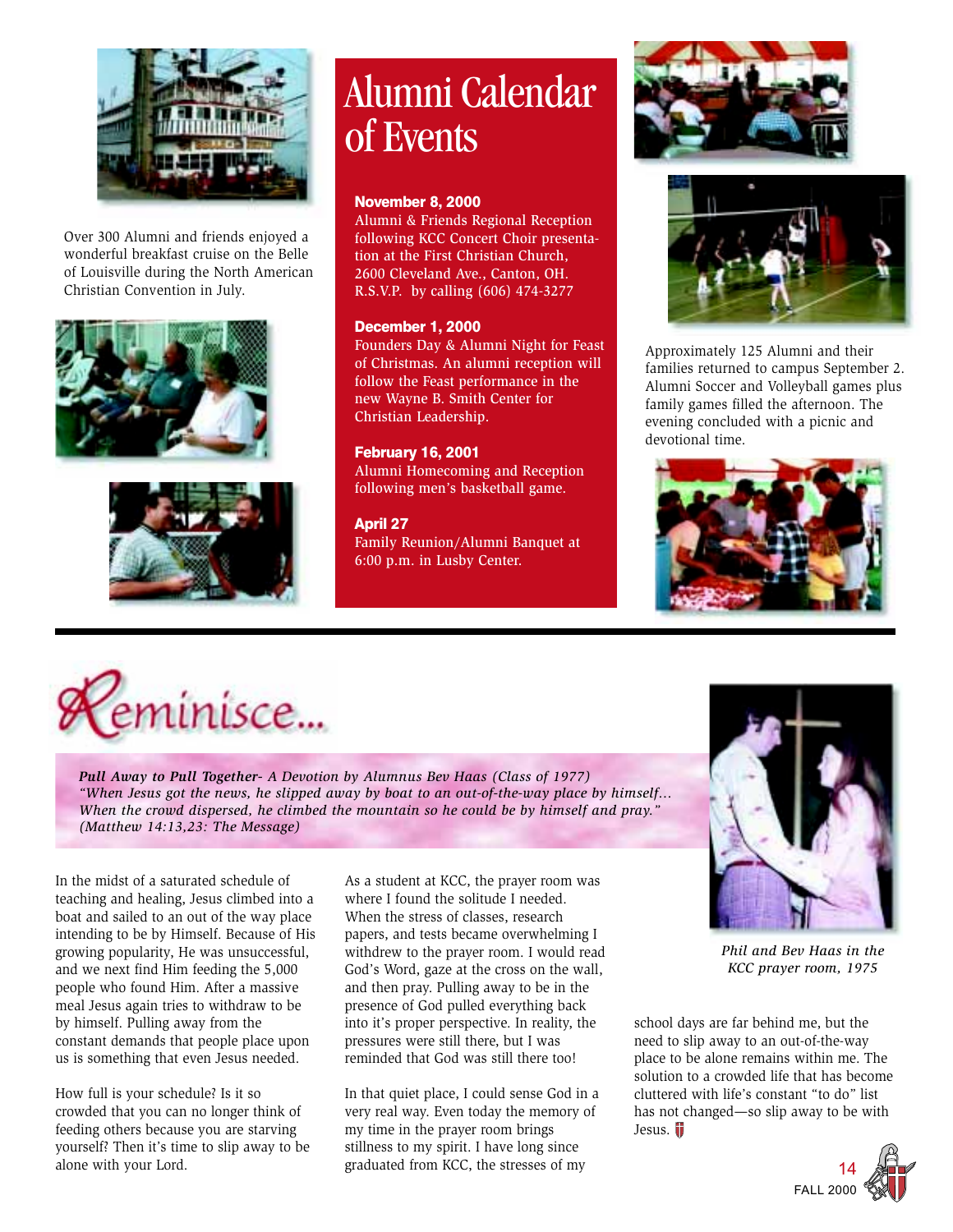

Over 300 Alumni and friends enjoyed a wonderful breakfast cruise on the Belle of Louisville during the North American Christian Convention in July.





## Alumni Calendar of Events

#### **November 8, 2000**

Alumni & Friends Regional Reception following KCC Concert Choir presentation at the First Christian Church, 2600 Cleveland Ave., Canton, OH. R.S.V.P. by calling (606) 474-3277

#### **December 1, 2000**

Founders Day & Alumni Night for Feast of Christmas. An alumni reception will follow the Feast performance in the new Wayne B. Smith Center for Christian Leadership.

#### **February 16, 2001**

Alumni Homecoming and Reception following men's basketball game.

#### **April 27**

Family Reunion/Alumni Banquet at 6:00 p.m. in Lusby Center.





Approximately 125 Alumni and their families returned to campus September 2. Alumni Soccer and Volleyball games plus family games filled the afternoon. The evening concluded with a picnic and devotional time.





*Pull Away to Pull Together- A Devotion by Alumnus Bev Haas (Class of 1977) "When Jesus got the news, he slipped away by boat to an out-of-the-way place by himself... When the crowd dispersed, he climbed the mountain so he could be by himself and pray." (Matthew 14:13,23: The Message)*

In the midst of a saturated schedule of teaching and healing, Jesus climbed into a boat and sailed to an out of the way place intending to be by Himself. Because of His growing popularity, He was unsuccessful, and we next find Him feeding the 5,000 people who found Him. After a massive meal Jesus again tries to withdraw to be by himself. Pulling away from the constant demands that people place upon us is something that even Jesus needed.

How full is your schedule? Is it so crowded that you can no longer think of feeding others because you are starving yourself? Then it's time to slip away to be alone with your Lord.

As a student at KCC, the prayer room was where I found the solitude I needed. When the stress of classes, research papers, and tests became overwhelming I withdrew to the prayer room. I would read God's Word, gaze at the cross on the wall, and then pray. Pulling away to be in the presence of God pulled everything back into it's proper perspective. In reality, the pressures were still there, but I was reminded that God was still there too!

In that quiet place, I could sense God in a very real way. Even today the memory of my time in the prayer room brings stillness to my spirit. I have long since graduated from KCC, the stresses of my



*Phil and Bev Haas in the KCC prayer room, 1975*

school days are far behind me, but the need to slip away to an out-of-the-way place to be alone remains within me. The solution to a crowded life that has become cluttered with life's constant "to do" list has not changed—so slip away to be with Jesus.